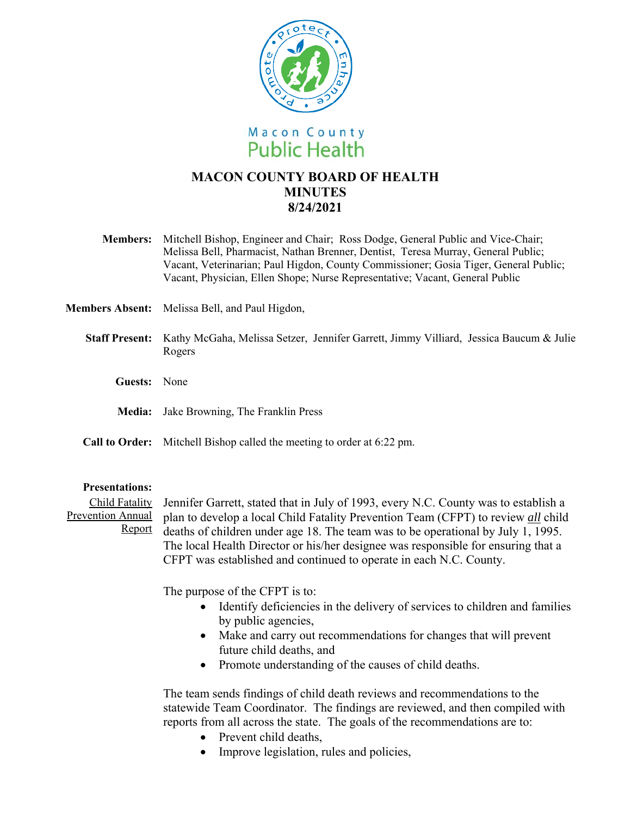

# **MACON COUNTY BOARD OF HEALTH MINUTES 8/24/2021**

- **Members:** Mitchell Bishop, Engineer and Chair; Ross Dodge, General Public and Vice-Chair; Melissa Bell, Pharmacist, Nathan Brenner, Dentist, Teresa Murray, General Public; Vacant, Veterinarian; Paul Higdon, County Commissioner; Gosia Tiger, General Public; Vacant, Physician, Ellen Shope; Nurse Representative; Vacant, General Public
- **Members Absent:** Melissa Bell, and Paul Higdon,
	- **Staff Present:** Kathy McGaha, Melissa Setzer, Jennifer Garrett, Jimmy Villiard, Jessica Baucum & Julie Rogers
		- **Guests:** None
		- **Media:**  Jake Browning, The Franklin Press
	- **Call to Order:**  Mitchell Bishop called the meeting to order at 6:22 pm.

### **Presentations:**

Child Fatality Jennifer Garrett, stated that in July of 1993, every N.C. County was to establish a Prevention Annual plan to develop a local Child Fatality Prevention Team (CFPT) to review *all* child Report deaths of children under age 18. The team was to be operational by July  $1, 1995$ . The local Health Director or his/her designee was responsible for ensuring that a CFPT was established and continued to operate in each N.C. County.

The purpose of the CFPT is to:

- Identify deficiencies in the delivery of services to children and families by public agencies,
- Make and carry out recommendations for changes that will prevent future child deaths, and
- Promote understanding of the causes of child deaths.

The team sends findings of child death reviews and recommendations to the statewide Team Coordinator. The findings are reviewed, and then compiled with reports from all across the state. The goals of the recommendations are to:

- Prevent child deaths,
- Improve legislation, rules and policies,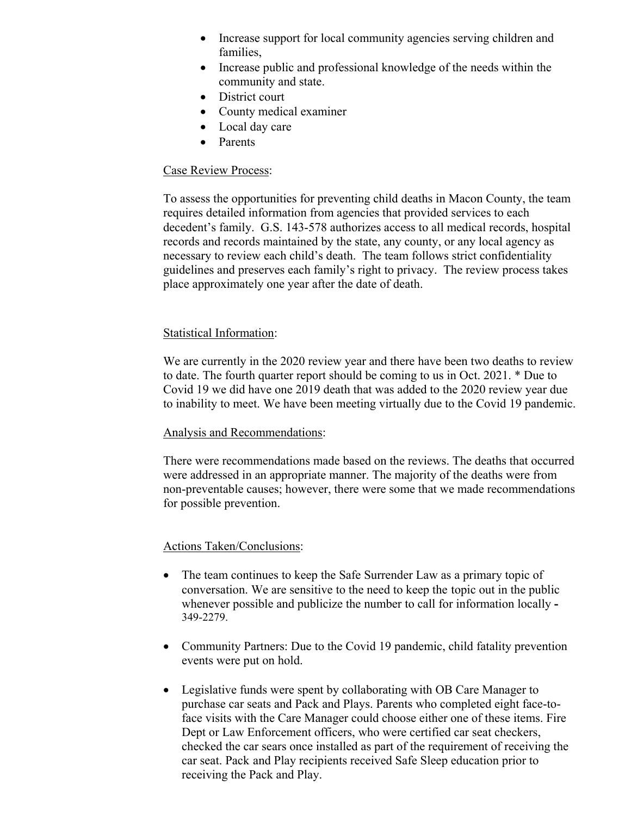- Increase support for local community agencies serving children and families,
- Increase public and professional knowledge of the needs within the community and state.
- District court
- County medical examiner
- Local day care
- Parents

# Case Review Process:

To assess the opportunities for preventing child deaths in Macon County, the team requires detailed information from agencies that provided services to each decedent's family. G.S. 143-578 authorizes access to all medical records, hospital records and records maintained by the state, any county, or any local agency as necessary to review each child's death. The team follows strict confidentiality guidelines and preserves each family's right to privacy. The review process takes place approximately one year after the date of death.

## Statistical Information:

We are currently in the 2020 review year and there have been two deaths to review to date. The fourth quarter report should be coming to us in Oct. 2021. \* Due to Covid 19 we did have one 2019 death that was added to the 2020 review year due to inability to meet. We have been meeting virtually due to the Covid 19 pandemic.

### Analysis and Recommendations:

There were recommendations made based on the reviews. The deaths that occurred were addressed in an appropriate manner. The majority of the deaths were from non-preventable causes; however, there were some that we made recommendations for possible prevention.

### Actions Taken/Conclusions:

- The team continues to keep the Safe Surrender Law as a primary topic of conversation. We are sensitive to the need to keep the topic out in the public whenever possible and publicize the number to call for information locally **-**  349-2279.
- Community Partners: Due to the Covid 19 pandemic, child fatality prevention events were put on hold.
- Legislative funds were spent by collaborating with OB Care Manager to purchase car seats and Pack and Plays. Parents who completed eight face-toface visits with the Care Manager could choose either one of these items. Fire Dept or Law Enforcement officers, who were certified car seat checkers, checked the car sears once installed as part of the requirement of receiving the car seat. Pack and Play recipients received Safe Sleep education prior to receiving the Pack and Play.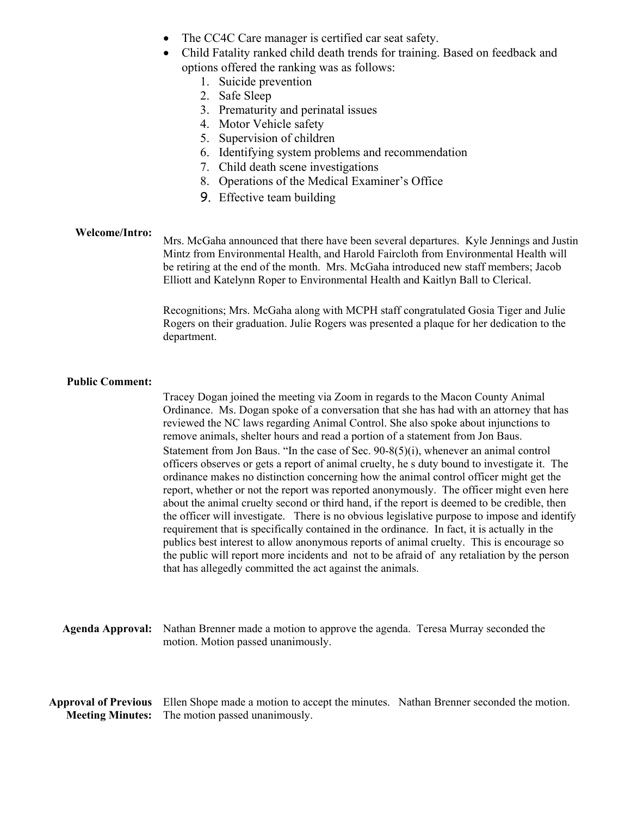- The CC4C Care manager is certified car seat safety.
- Child Fatality ranked child death trends for training. Based on feedback and options offered the ranking was as follows:
	- 1. Suicide prevention
	- 2. Safe Sleep
	- 3. Prematurity and perinatal issues
	- 4. Motor Vehicle safety
	- 5. Supervision of children
	- 6. Identifying system problems and recommendation
	- 7. Child death scene investigations
	- 8. Operations of the Medical Examiner's Office
	- 9. Effective team building

#### **Welcome/Intro:**

Mrs. McGaha announced that there have been several departures. Kyle Jennings and Justin Mintz from Environmental Health, and Harold Faircloth from Environmental Health will be retiring at the end of the month. Mrs. McGaha introduced new staff members; Jacob Elliott and Katelynn Roper to Environmental Health and Kaitlyn Ball to Clerical.

Recognitions; Mrs. McGaha along with MCPH staff congratulated Gosia Tiger and Julie Rogers on their graduation. Julie Rogers was presented a plaque for her dedication to the department.

#### **Public Comment:**

Tracey Dogan joined the meeting via Zoom in regards to the Macon County Animal Ordinance. Ms. Dogan spoke of a conversation that she has had with an attorney that has reviewed the NC laws regarding Animal Control. She also spoke about injunctions to remove animals, shelter hours and read a portion of a statement from Jon Baus. Statement from Jon Baus. "In the case of Sec. 90-8(5)(i), whenever an animal control officers observes or gets a report of animal cruelty, he s duty bound to investigate it. The ordinance makes no distinction concerning how the animal control officer might get the report, whether or not the report was reported anonymously. The officer might even here about the animal cruelty second or third hand, if the report is deemed to be credible, then the officer will investigate. There is no obvious legislative purpose to impose and identify requirement that is specifically contained in the ordinance. In fact, it is actually in the publics best interest to allow anonymous reports of animal cruelty. This is encourage so the public will report more incidents and not to be afraid of any retaliation by the person that has allegedly committed the act against the animals.

**Agenda Approval:** Nathan Brenner made a motion to approve the agenda. Teresa Murray seconded the motion. Motion passed unanimously.

**Approval of Previous**  Ellen Shope made a motion to accept the minutes. Nathan Brenner seconded the motion. **Meeting Minutes:**  The motion passed unanimously.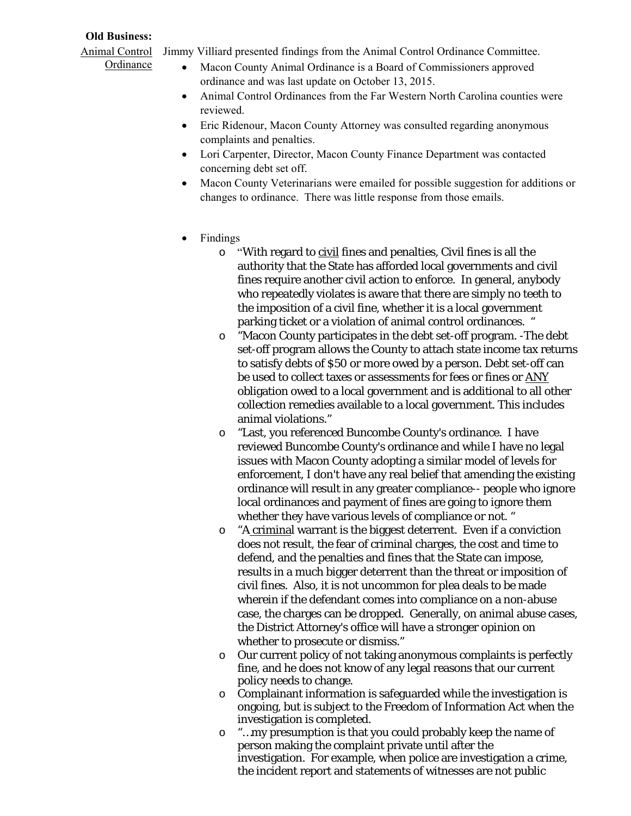# **Old Business:**

**Ordinance** 

- Animal Control Jimmy Villiard presented findings from the Animal Control Ordinance Committee.
	- Macon County Animal Ordinance is a Board of Commissioners approved ordinance and was last update on October 13, 2015.
	- Animal Control Ordinances from the Far Western North Carolina counties were reviewed.
	- Eric Ridenour, Macon County Attorney was consulted regarding anonymous complaints and penalties.
	- Lori Carpenter, Director, Macon County Finance Department was contacted concerning debt set off.
	- Macon County Veterinarians were emailed for possible suggestion for additions or changes to ordinance. There was little response from those emails.
	- Findings
		- o "With regard to civil fines and penalties, Civil fines is all the authority that the State has afforded local governments and civil fines require another civil action to enforce. In general, anybody who repeatedly violates is aware that there are simply no teeth to the imposition of a civil fine, whether it is a local government parking ticket or a violation of animal control ordinances. "
		- o "Macon County participates in the debt set-off program. -The debt set-off program allows the County to attach state income tax returns to satisfy debts of \$50 or more owed by a person. Debt set-off can be used to collect taxes or assessments for fees or fines or ANY obligation owed to a local government and is additional to all other collection remedies available to a local government. This includes animal violations."
		- o "Last, you referenced Buncombe County's ordinance. I have reviewed Buncombe County's ordinance and while I have no legal issues with Macon County adopting a similar model of levels for enforcement, I don't have any real belief that amending the existing ordinance will result in any greater compliance-- people who ignore local ordinances and payment of fines are going to ignore them whether they have various levels of compliance or not. "
		- o "A criminal warrant is the biggest deterrent. Even if a conviction does not result, the fear of criminal charges, the cost and time to defend, and the penalties and fines that the State can impose, results in a much bigger deterrent than the threat or imposition of civil fines. Also, it is not uncommon for plea deals to be made wherein if the defendant comes into compliance on a non-abuse case, the charges can be dropped. Generally, on animal abuse cases, the District Attorney's office will have a stronger opinion on whether to prosecute or dismiss."
		- o Our current policy of not taking anonymous complaints is perfectly fine, and he does not know of any legal reasons that our current policy needs to change.
		- o Complainant information is safeguarded while the investigation is ongoing, but is subject to the Freedom of Information Act when the investigation is completed.
		- o "…my presumption is that you could probably keep the name of person making the complaint private until after the investigation. For example, when police are investigation a crime, the incident report and statements of witnesses are not public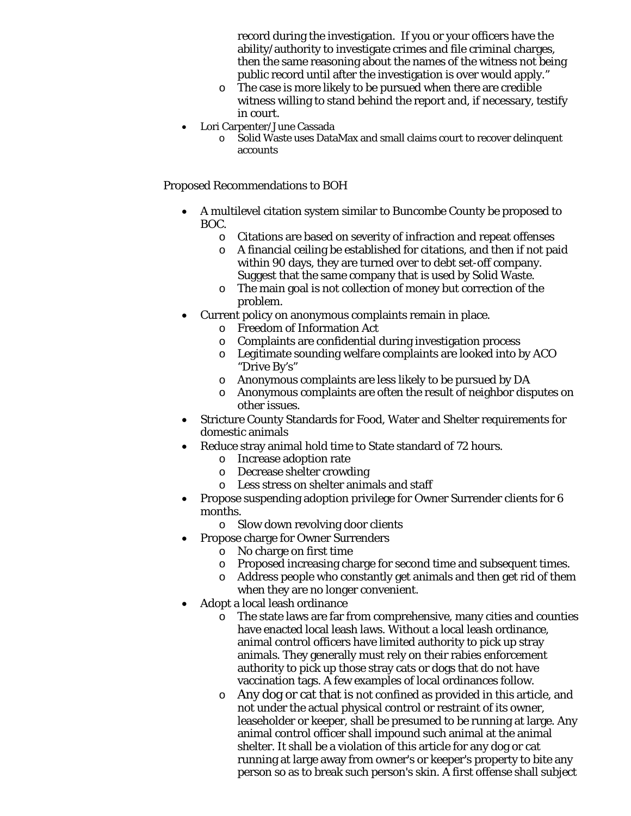record during the investigation. If you or your officers have the ability/authority to investigate crimes and file criminal charges, then the same reasoning about the names of the witness not being public record until after the investigation is over would apply."

- o The case is more likely to be pursued when there are credible witness willing to stand behind the report and, if necessary, testify in court.
- Lori Carpenter/June Cassada
	- o Solid Waste uses DataMax and small claims court to recover delinquent accounts

Proposed Recommendations to BOH

- A multilevel citation system similar to Buncombe County be proposed to BOC.
	- o Citations are based on severity of infraction and repeat offenses
	- o A financial ceiling be established for citations, and then if not paid within 90 days, they are turned over to debt set-off company. Suggest that the same company that is used by Solid Waste.
	- o The main goal is not collection of money but correction of the problem.
- Current policy on anonymous complaints remain in place.
	- o Freedom of Information Act
	- o Complaints are confidential during investigation process
	- o Legitimate sounding welfare complaints are looked into by ACO "Drive By's"
	- o Anonymous complaints are less likely to be pursued by DA
	- o Anonymous complaints are often the result of neighbor disputes on other issues.
- Stricture County Standards for Food, Water and Shelter requirements for domestic animals
- Reduce stray animal hold time to State standard of 72 hours.
	- o Increase adoption rate
	- o Decrease shelter crowding
	- o Less stress on shelter animals and staff
- Propose suspending adoption privilege for Owner Surrender clients for 6 months.
	- o Slow down revolving door clients
- Propose charge for Owner Surrenders
	- o No charge on first time
	- o Proposed increasing charge for second time and subsequent times.
	- o Address people who constantly get animals and then get rid of them when they are no longer convenient.
- Adopt a local leash ordinance
	- o The state laws are far from comprehensive, many cities and counties have enacted local leash laws. Without a local leash ordinance, animal control officers have limited authority to pick up stray animals. They generally must rely on their rabies enforcement authority to pick up those stray cats or dogs that do not have vaccination tags. A few examples of local ordinances follow.
	- o Any dog or cat that is not confined as provided in this article, and not under the actual physical control or restraint of its owner, leaseholder or keeper, shall be presumed to be running at large. Any animal control officer shall impound such animal at the animal shelter. It shall be a violation of this article for any dog or cat running at large away from owner's or keeper's property to bite any person so as to break such person's skin. A first offense shall subject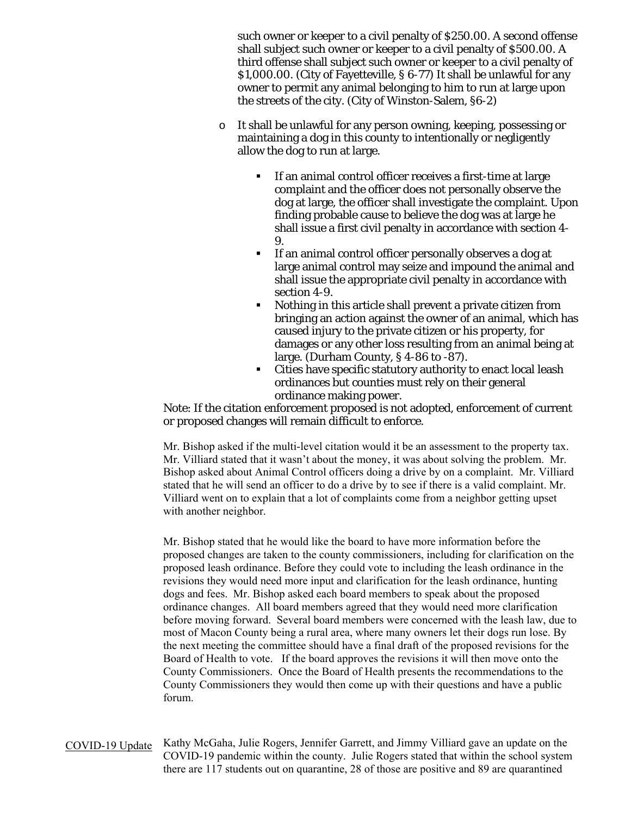such owner or keeper to a civil penalty of \$250.00. A second offense shall subject such owner or keeper to a civil penalty of \$500.00. A third offense shall subject such owner or keeper to a civil penalty of \$1,000.00. (City of Fayetteville, § 6-77) It shall be unlawful for any owner to permit any animal belonging to him to run at large upon the streets of the city. (City of Winston-Salem, §6-2)

- o It shall be unlawful for any person owning, keeping, possessing or maintaining a dog in this county to intentionally or negligently allow the dog to run at large.
	- If an animal control officer receives a first-time at large complaint and the officer does not personally observe the dog at large, the officer shall investigate the complaint. Upon finding probable cause to believe the dog was at large he shall issue a first civil penalty in accordance with section 4- 9.
	- If an animal control officer personally observes a dog at large animal control may seize and impound the animal and shall issue the appropriate civil penalty in accordance with section 4-9.
	- Nothing in this article shall prevent a private citizen from bringing an action against the owner of an animal, which has caused injury to the private citizen or his property, for damages or any other loss resulting from an animal being at large. (Durham County, § 4-86 to -87).
	- Cities have specific statutory authority to enact local leash ordinances but counties must rely on their general ordinance making power.

Note: If the citation enforcement proposed is not adopted, enforcement of current or proposed changes will remain difficult to enforce.

Mr. Bishop asked if the multi-level citation would it be an assessment to the property tax. Mr. Villiard stated that it wasn't about the money, it was about solving the problem. Mr. Bishop asked about Animal Control officers doing a drive by on a complaint. Mr. Villiard stated that he will send an officer to do a drive by to see if there is a valid complaint. Mr. Villiard went on to explain that a lot of complaints come from a neighbor getting upset with another neighbor.

Mr. Bishop stated that he would like the board to have more information before the proposed changes are taken to the county commissioners, including for clarification on the proposed leash ordinance. Before they could vote to including the leash ordinance in the revisions they would need more input and clarification for the leash ordinance, hunting dogs and fees. Mr. Bishop asked each board members to speak about the proposed ordinance changes. All board members agreed that they would need more clarification before moving forward. Several board members were concerned with the leash law, due to most of Macon County being a rural area, where many owners let their dogs run lose. By the next meeting the committee should have a final draft of the proposed revisions for the Board of Health to vote. If the board approves the revisions it will then move onto the County Commissioners. Once the Board of Health presents the recommendations to the County Commissioners they would then come up with their questions and have a public forum.

COVID-19 Update Kathy McGaha, Julie Rogers, Jennifer Garrett, and Jimmy Villiard gave an update on the COVID-19 pandemic within the county. Julie Rogers stated that within the school system there are 117 students out on quarantine, 28 of those are positive and 89 are quarantined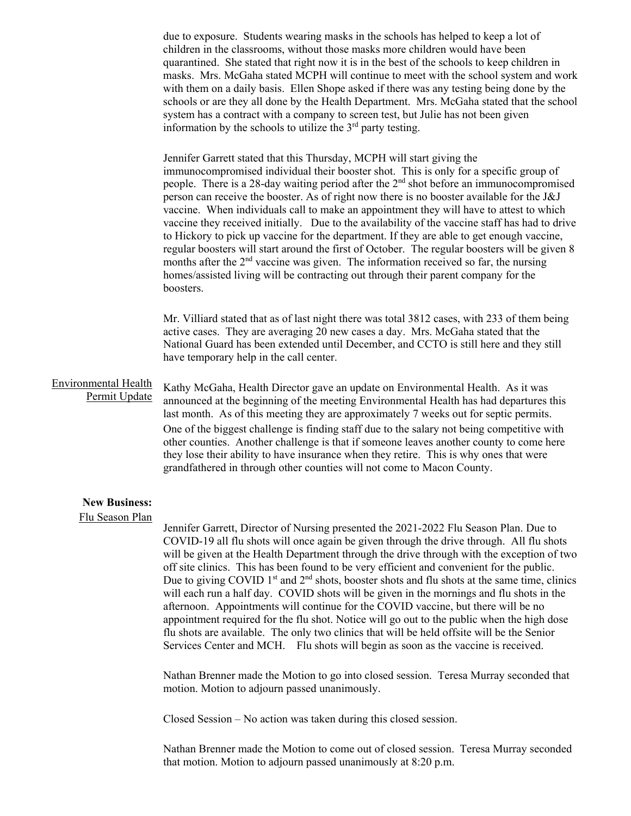due to exposure. Students wearing masks in the schools has helped to keep a lot of children in the classrooms, without those masks more children would have been quarantined. She stated that right now it is in the best of the schools to keep children in masks. Mrs. McGaha stated MCPH will continue to meet with the school system and work with them on a daily basis. Ellen Shope asked if there was any testing being done by the schools or are they all done by the Health Department. Mrs. McGaha stated that the school system has a contract with a company to screen test, but Julie has not been given information by the schools to utilize the  $3<sup>rd</sup>$  party testing.

Jennifer Garrett stated that this Thursday, MCPH will start giving the immunocompromised individual their booster shot. This is only for a specific group of people. There is a 28-day waiting period after the  $2<sup>nd</sup>$  shot before an immunocompromised person can receive the booster. As of right now there is no booster available for the J&J vaccine. When individuals call to make an appointment they will have to attest to which vaccine they received initially. Due to the availability of the vaccine staff has had to drive to Hickory to pick up vaccine for the department. If they are able to get enough vaccine, regular boosters will start around the first of October. The regular boosters will be given 8 months after the  $2<sup>nd</sup>$  vaccine was given. The information received so far, the nursing homes/assisted living will be contracting out through their parent company for the boosters.

Mr. Villiard stated that as of last night there was total 3812 cases, with 233 of them being active cases. They are averaging 20 new cases a day. Mrs. McGaha stated that the National Guard has been extended until December, and CCTO is still here and they still have temporary help in the call center.

## Environmental Health Permit Update

Kathy McGaha, Health Director gave an update on Environmental Health. As it was announced at the beginning of the meeting Environmental Health has had departures this last month. As of this meeting they are approximately 7 weeks out for septic permits. One of the biggest challenge is finding staff due to the salary not being competitive with other counties. Another challenge is that if someone leaves another county to come here they lose their ability to have insurance when they retire. This is why ones that were grandfathered in through other counties will not come to Macon County.

#### **New Business:**

#### Flu Season Plan

Jennifer Garrett, Director of Nursing presented the 2021-2022 Flu Season Plan. Due to COVID-19 all flu shots will once again be given through the drive through. All flu shots will be given at the Health Department through the drive through with the exception of two off site clinics. This has been found to be very efficient and convenient for the public. Due to giving COVID  $1<sup>st</sup>$  and  $2<sup>nd</sup>$  shots, booster shots and flu shots at the same time, clinics will each run a half day. COVID shots will be given in the mornings and flu shots in the afternoon. Appointments will continue for the COVID vaccine, but there will be no appointment required for the flu shot. Notice will go out to the public when the high dose flu shots are available. The only two clinics that will be held offsite will be the Senior Services Center and MCH. Flu shots will begin as soon as the vaccine is received.

Nathan Brenner made the Motion to go into closed session. Teresa Murray seconded that motion. Motion to adjourn passed unanimously.

Closed Session – No action was taken during this closed session.

Nathan Brenner made the Motion to come out of closed session. Teresa Murray seconded that motion. Motion to adjourn passed unanimously at 8:20 p.m.